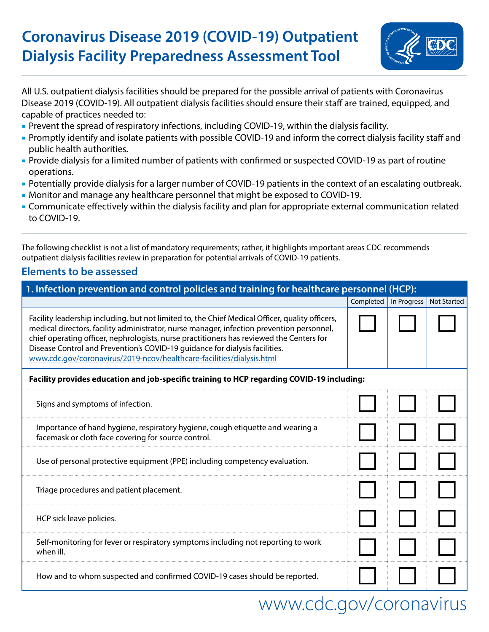## **Coronavirus Disease 2019 (COVID-19) Outpatient Dialysis Facility Preparedness Assessment Tool**



All U.S. outpatient dialysis facilities should be prepared for the possible arrival of patients with Coronavirus Disease 2019 (COVID-19). All outpatient dialysis facilities should ensure their staff are trained, equipped, and capable of practices needed to:

- Prevent the spread of respiratory infections, including COVID-19, within the dialysis facility.
- Promptly identify and isolate patients with possible COVID-19 and inform the correct dialysis facility staff and public health authorities.
- Provide dialysis for a limited number of patients with confirmed or suspected COVID-19 as part of routine operations.
- Potentially provide dialysis for a larger number of COVID-19 patients in the context of an escalating outbreak.
- Monitor and manage any healthcare personnel that might be exposed to COVID-19.
- Communicate effectively within the dialysis facility and plan for appropriate external communication related to COVID-19.

The following checklist is not a list of mandatory requirements; rather, it highlights important areas CDC recommends outpatient dialysis facilities review in preparation for potential arrivals of COVID-19 patients.

### **Elements to be assessed**

| 1. Infection prevention and control policies and training for healthcare personnel (HCP):                                                                                                                                                                                                                                                                                                                                                        |           |                           |  |
|--------------------------------------------------------------------------------------------------------------------------------------------------------------------------------------------------------------------------------------------------------------------------------------------------------------------------------------------------------------------------------------------------------------------------------------------------|-----------|---------------------------|--|
|                                                                                                                                                                                                                                                                                                                                                                                                                                                  | Completed | In Progress   Not Started |  |
| Facility leadership including, but not limited to, the Chief Medical Officer, quality officers,<br>medical directors, facility administrator, nurse manager, infection prevention personnel,<br>chief operating officer, nephrologists, nurse practitioners has reviewed the Centers for<br>Disease Control and Prevention's COVID-19 guidance for dialysis facilities.<br>www.cdc.gov/coronavirus/2019-ncov/healthcare-facilities/dialysis.html |           |                           |  |
| Facility provides education and job-specific training to HCP regarding COVID-19 including:                                                                                                                                                                                                                                                                                                                                                       |           |                           |  |
| Signs and symptoms of infection.                                                                                                                                                                                                                                                                                                                                                                                                                 |           |                           |  |
| Importance of hand hygiene, respiratory hygiene, cough etiquette and wearing a<br>facemask or cloth face covering for source control.                                                                                                                                                                                                                                                                                                            |           |                           |  |
| Use of personal protective equipment (PPE) including competency evaluation.                                                                                                                                                                                                                                                                                                                                                                      |           |                           |  |
| Triage procedures and patient placement.                                                                                                                                                                                                                                                                                                                                                                                                         |           |                           |  |
| HCP sick leave policies.                                                                                                                                                                                                                                                                                                                                                                                                                         |           |                           |  |
| Self-monitoring for fever or respiratory symptoms including not reporting to work<br>when ill.                                                                                                                                                                                                                                                                                                                                                   |           |                           |  |
| How and to whom suspected and confirmed COVID-19 cases should be reported.                                                                                                                                                                                                                                                                                                                                                                       |           |                           |  |

# [www.cdc.gov/](https://www.cdc.gov/coronavirus)coronavirus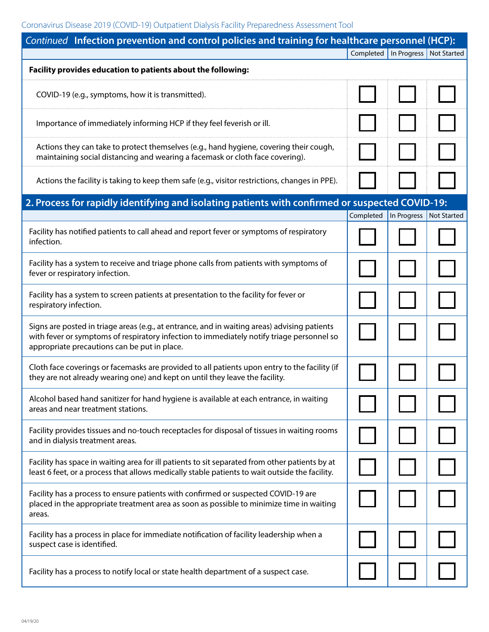| Continued Infection prevention and control policies and training for healthcare personnel (HCP):                                                                                                                                          |                                       |                                       |
|-------------------------------------------------------------------------------------------------------------------------------------------------------------------------------------------------------------------------------------------|---------------------------------------|---------------------------------------|
|                                                                                                                                                                                                                                           |                                       | Completed   In Progress   Not Started |
| Facility provides education to patients about the following:                                                                                                                                                                              |                                       |                                       |
| COVID-19 (e.g., symptoms, how it is transmitted).                                                                                                                                                                                         |                                       |                                       |
| Importance of immediately informing HCP if they feel feverish or ill.                                                                                                                                                                     |                                       |                                       |
| Actions they can take to protect themselves (e.g., hand hygiene, covering their cough,<br>maintaining social distancing and wearing a facemask or cloth face covering).                                                                   |                                       |                                       |
| Actions the facility is taking to keep them safe (e.g., visitor restrictions, changes in PPE).                                                                                                                                            |                                       |                                       |
| 2. Process for rapidly identifying and isolating patients with confirmed or suspected COVID-19:                                                                                                                                           |                                       |                                       |
| Facility has notified patients to call ahead and report fever or symptoms of respiratory<br>infection.                                                                                                                                    | Completed   In Progress   Not Started |                                       |
| Facility has a system to receive and triage phone calls from patients with symptoms of<br>fever or respiratory infection.                                                                                                                 |                                       |                                       |
| Facility has a system to screen patients at presentation to the facility for fever or<br>respiratory infection.                                                                                                                           |                                       |                                       |
| Signs are posted in triage areas (e.g., at entrance, and in waiting areas) advising patients<br>with fever or symptoms of respiratory infection to immediately notify triage personnel so<br>appropriate precautions can be put in place. |                                       |                                       |
| Cloth face coverings or facemasks are provided to all patients upon entry to the facility (if<br>they are not already wearing one) and kept on until they leave the facility.                                                             |                                       |                                       |
| Alcohol based hand sanitizer for hand hygiene is available at each entrance, in waiting<br>areas and near treatment stations.                                                                                                             |                                       |                                       |
| Facility provides tissues and no-touch receptacles for disposal of tissues in waiting rooms<br>and in dialysis treatment areas.                                                                                                           |                                       |                                       |
| Facility has space in waiting area for ill patients to sit separated from other patients by at<br>least 6 feet, or a process that allows medically stable patients to wait outside the facility.                                          |                                       |                                       |
| Facility has a process to ensure patients with confirmed or suspected COVID-19 are<br>placed in the appropriate treatment area as soon as possible to minimize time in waiting<br>areas.                                                  |                                       |                                       |
| Facility has a process in place for immediate notification of facility leadership when a<br>suspect case is identified.                                                                                                                   |                                       |                                       |
| Facility has a process to notify local or state health department of a suspect case.                                                                                                                                                      |                                       |                                       |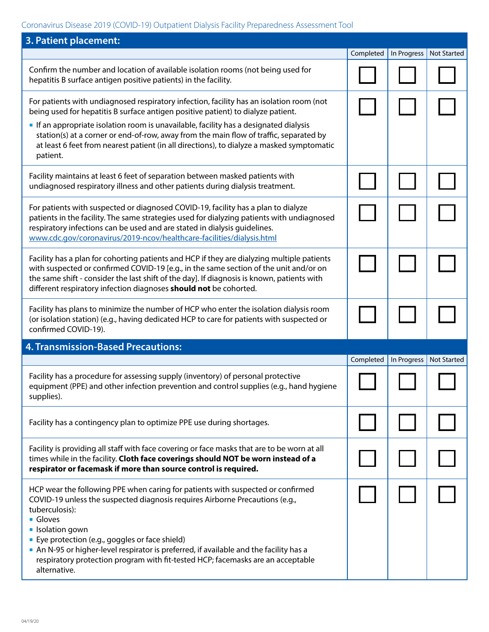### Coronavirus Disease 2019 (COVID-19) Outpatient Dialysis Facility Preparedness Assessment Tool

| 3. Patient placement:                                                                                                                                                                                                                                                                                                                                                                                                                                                      |           |             |                    |
|----------------------------------------------------------------------------------------------------------------------------------------------------------------------------------------------------------------------------------------------------------------------------------------------------------------------------------------------------------------------------------------------------------------------------------------------------------------------------|-----------|-------------|--------------------|
|                                                                                                                                                                                                                                                                                                                                                                                                                                                                            | Completed | In Progress | <b>Not Started</b> |
| Confirm the number and location of available isolation rooms (not being used for<br>hepatitis B surface antigen positive patients) in the facility.                                                                                                                                                                                                                                                                                                                        |           |             |                    |
| For patients with undiagnosed respiratory infection, facility has an isolation room (not<br>being used for hepatitis B surface antigen positive patient) to dialyze patient.                                                                                                                                                                                                                                                                                               |           |             |                    |
| If an appropriate isolation room is unavailable, facility has a designated dialysis<br>station(s) at a corner or end-of-row, away from the main flow of traffic, separated by<br>at least 6 feet from nearest patient (in all directions), to dialyze a masked symptomatic<br>patient.                                                                                                                                                                                     |           |             |                    |
| Facility maintains at least 6 feet of separation between masked patients with<br>undiagnosed respiratory illness and other patients during dialysis treatment.                                                                                                                                                                                                                                                                                                             |           |             |                    |
| For patients with suspected or diagnosed COVID-19, facility has a plan to dialyze<br>patients in the facility. The same strategies used for dialyzing patients with undiagnosed<br>respiratory infections can be used and are stated in dialysis guidelines.<br>www.cdc.gov/coronavirus/2019-ncov/healthcare-facilities/dialysis.html                                                                                                                                      |           |             |                    |
| Facility has a plan for cohorting patients and HCP if they are dialyzing multiple patients<br>with suspected or confirmed COVID-19 [e.g., in the same section of the unit and/or on<br>the same shift - consider the last shift of the day]. If diagnosis is known, patients with<br>different respiratory infection diagnoses should not be cohorted.                                                                                                                     |           |             |                    |
| Facility has plans to minimize the number of HCP who enter the isolation dialysis room<br>(or isolation station) (e.g., having dedicated HCP to care for patients with suspected or<br>confirmed COVID-19).                                                                                                                                                                                                                                                                |           |             |                    |
| <b>4. Transmission-Based Precautions:</b>                                                                                                                                                                                                                                                                                                                                                                                                                                  |           |             |                    |
|                                                                                                                                                                                                                                                                                                                                                                                                                                                                            | Completed | In Progress | <b>Not Started</b> |
| Facility has a procedure for assessing supply (inventory) of personal protective<br>equipment (PPE) and other infection prevention and control supplies (e.g., hand hygiene<br>supplies).                                                                                                                                                                                                                                                                                  |           |             |                    |
| Facility has a contingency plan to optimize PPE use during shortages.                                                                                                                                                                                                                                                                                                                                                                                                      |           |             |                    |
| Facility is providing all staff with face covering or face masks that are to be worn at all<br>times while in the facility. Cloth face coverings should NOT be worn instead of a<br>respirator or facemask if more than source control is required.                                                                                                                                                                                                                        |           |             |                    |
| HCP wear the following PPE when caring for patients with suspected or confirmed<br>COVID-19 unless the suspected diagnosis requires Airborne Precautions (e.g.,<br>tuberculosis):<br><b>Gloves</b><br><b>I</b> solation gown<br>• Eye protection (e.g., goggles or face shield)<br>An N-95 or higher-level respirator is preferred, if available and the facility has a<br>respiratory protection program with fit-tested HCP; facemasks are an acceptable<br>alternative. |           |             |                    |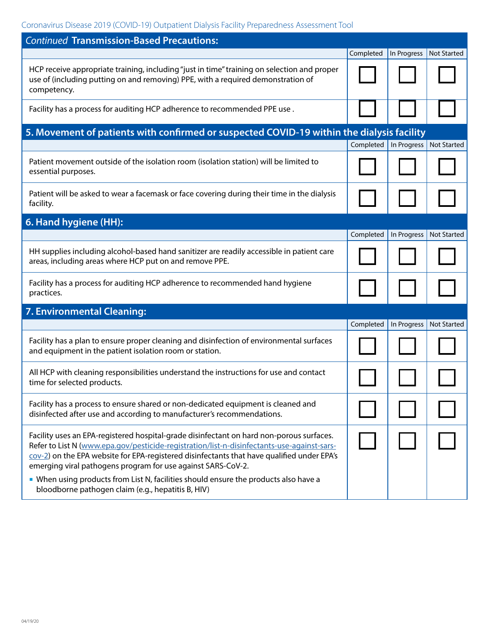### Coronavirus Disease 2019 (COVID-19) Outpatient Dialysis Facility Preparedness Assessment Tool

| <b>Continued Transmission-Based Precautions:</b>                                                                                                                                                                                                                                                                                                     |           |                         |                    |
|------------------------------------------------------------------------------------------------------------------------------------------------------------------------------------------------------------------------------------------------------------------------------------------------------------------------------------------------------|-----------|-------------------------|--------------------|
|                                                                                                                                                                                                                                                                                                                                                      | Completed | In Progress             | Not Started        |
| HCP receive appropriate training, including "just in time" training on selection and proper<br>use of (including putting on and removing) PPE, with a required demonstration of<br>competency.                                                                                                                                                       |           |                         |                    |
| Facility has a process for auditing HCP adherence to recommended PPE use.                                                                                                                                                                                                                                                                            |           |                         |                    |
| 5. Movement of patients with confirmed or suspected COVID-19 within the dialysis facility                                                                                                                                                                                                                                                            |           |                         |                    |
|                                                                                                                                                                                                                                                                                                                                                      |           | Completed   In Progress | <b>Not Started</b> |
| Patient movement outside of the isolation room (isolation station) will be limited to<br>essential purposes.                                                                                                                                                                                                                                         |           |                         |                    |
| Patient will be asked to wear a facemask or face covering during their time in the dialysis<br>facility.                                                                                                                                                                                                                                             |           |                         |                    |
| 6. Hand hygiene (HH):                                                                                                                                                                                                                                                                                                                                |           |                         |                    |
|                                                                                                                                                                                                                                                                                                                                                      | Completed | In Progress             | <b>Not Started</b> |
| HH supplies including alcohol-based hand sanitizer are readily accessible in patient care<br>areas, including areas where HCP put on and remove PPE.                                                                                                                                                                                                 |           |                         |                    |
| Facility has a process for auditing HCP adherence to recommended hand hygiene<br>practices.                                                                                                                                                                                                                                                          |           |                         |                    |
| 7. Environmental Cleaning:                                                                                                                                                                                                                                                                                                                           |           |                         |                    |
|                                                                                                                                                                                                                                                                                                                                                      | Completed | In Progress             | <b>Not Started</b> |
| Facility has a plan to ensure proper cleaning and disinfection of environmental surfaces<br>and equipment in the patient isolation room or station.                                                                                                                                                                                                  |           |                         |                    |
| All HCP with cleaning responsibilities understand the instructions for use and contact<br>time for selected products.                                                                                                                                                                                                                                |           |                         |                    |
| Facility has a process to ensure shared or non-dedicated equipment is cleaned and<br>disinfected after use and according to manufacturer's recommendations.                                                                                                                                                                                          |           |                         |                    |
| Facility uses an EPA-registered hospital-grade disinfectant on hard non-porous surfaces.<br>Refer to List N (www.epa.gov/pesticide-registration/list-n-disinfectants-use-against-sars-<br>cov-2) on the EPA website for EPA-registered disinfectants that have qualified under EPA's<br>emerging viral pathogens program for use against SARS-CoV-2. |           |                         |                    |
| • When using products from List N, facilities should ensure the products also have a<br>bloodborne pathogen claim (e.g., hepatitis B, HIV)                                                                                                                                                                                                           |           |                         |                    |